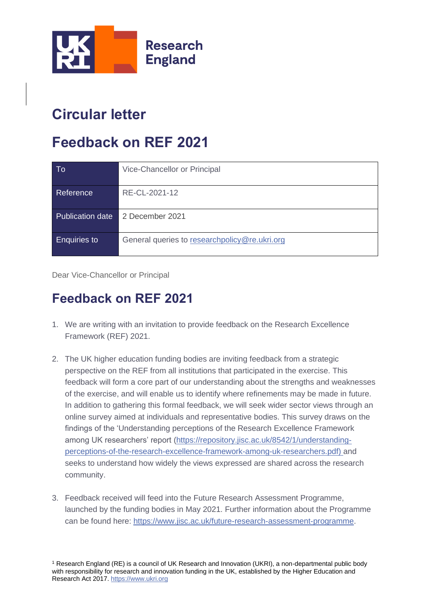

# **Circular letter**

# **Feedback on REF 2021**

| To                  | Vice-Chancellor or Principal                  |
|---------------------|-----------------------------------------------|
| Reference           | RE-CL-2021-12                                 |
| Publication date    | 2 December 2021                               |
| <b>Enquiries to</b> | General queries to researchpolicy@re.ukri.org |

Dear Vice-Chancellor or Principal

#### **Feedback on REF 2021**

- 1. We are writing with an invitation to provide feedback on the Research Excellence Framework (REF) 2021.
- 2. The UK higher education funding bodies are inviting feedback from a strategic perspective on the REF from all institutions that participated in the exercise. This feedback will form a core part of our understanding about the strengths and weaknesses of the exercise, and will enable us to identify where refinements may be made in future. In addition to gathering this formal feedback, we will seek wider sector views through an online survey aimed at individuals and representative bodies. This survey draws on the findings of the 'Understanding perceptions of the Research Excellence Framework among UK researchers' report [\(https://repository.jisc.ac.uk/8542/1/understanding](https://repository.jisc.ac.uk/8542/1/understanding-perceptions-of-the-research-excellence-framework-among-uk-researchers.pdf)[perceptions-of-the-research-excellence-framework-among-uk-researchers.pdf\)](https://repository.jisc.ac.uk/8542/1/understanding-perceptions-of-the-research-excellence-framework-among-uk-researchers.pdf) and seeks to understand how widely the views expressed are shared across the research community.
- 3. Feedback received will feed into the Future Research Assessment Programme, launched by the funding bodies in May 2021. Further information about the Programme can be found here: [https://www.jisc.ac.uk/future-research-assessment-programme.](https://www.jisc.ac.uk/future-research-assessment-programme)

<sup>1</sup> Research England (RE) is a council of UK Research and Innovation (UKRI), a non-departmental public body with responsibility for research and innovation funding in the UK, established by the Higher Education and Research Act 2017[. https://www.ukri.org](https://www.ukri.org/)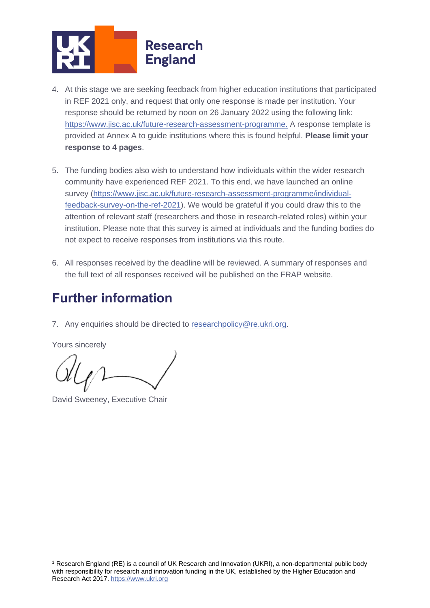

- 4. At this stage we are seeking feedback from higher education institutions that participated in REF 2021 only, and request that only one response is made per institution. Your response should be returned by noon on 26 January 2022 using the following link: [https://www.jisc.ac.uk/future-research-assessment-programme.](https://www.jisc.ac.uk/future-research-assessment-programme) A response template is provided at Annex A to guide institutions where this is found helpful. **Please limit your response to 4 pages**.
- 5. The funding bodies also wish to understand how individuals within the wider research community have experienced REF 2021. To this end, we have launched an online survey [\(https://www.jisc.ac.uk/future-research-assessment-programme/individual](https://www.jisc.ac.uk/future-research-assessment-programme/individual-feedback-survey-on-the-ref-2021)[feedback-survey-on-the-ref-2021\)](https://www.jisc.ac.uk/future-research-assessment-programme/individual-feedback-survey-on-the-ref-2021). We would be grateful if you could draw this to the attention of relevant staff (researchers and those in research-related roles) within your institution. Please note that this survey is aimed at individuals and the funding bodies do not expect to receive responses from institutions via this route.
- 6. All responses received by the deadline will be reviewed. A summary of responses and the full text of all responses received will be published on the FRAP website.

#### **Further information**

7. Any enquiries should be directed to [researchpolicy@re.ukri.org.](mailto:researchpolicy@re.ukri.org)

Yours sincerely

David Sweeney, Executive Chair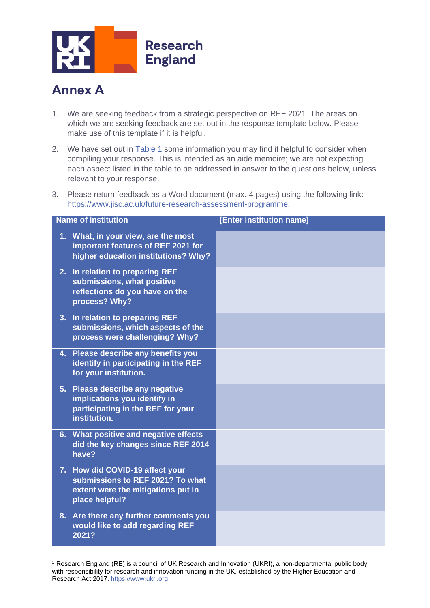

### **Annex A**

- 1. We are seeking feedback from a strategic perspective on REF 2021. The areas on which we are seeking feedback are set out in the response template below. Please make use of this template if it is helpful.
- 2. We have set out in [Table 1](#page-3-0) some information you may find it helpful to consider when compiling your response. This is intended as an aide memoire; we are not expecting each aspect listed in the table to be addressed in answer to the questions below, unless relevant to your response.
- 3. Please return feedback as a Word document (max. 4 pages) using the following link: [https://www.jisc.ac.uk/future-research-assessment-programme.](https://www.jisc.ac.uk/future-research-assessment-programme)

| <b>Name of institution</b>                                                                                                  |  | [Enter institution name] |
|-----------------------------------------------------------------------------------------------------------------------------|--|--------------------------|
| 1. What, in your view, are the most<br>important features of REF 2021 for<br>higher education institutions? Why?            |  |                          |
| In relation to preparing REF<br>2.<br>submissions, what positive<br>reflections do you have on the<br>process? Why?         |  |                          |
| In relation to preparing REF<br>3.<br>submissions, which aspects of the<br>process were challenging? Why?                   |  |                          |
| Please describe any benefits you<br>4.<br>identify in participating in the REF<br>for your institution.                     |  |                          |
| Please describe any negative<br>5.<br>implications you identify in<br>participating in the REF for your<br>institution.     |  |                          |
| 6. What positive and negative effects<br>did the key changes since REF 2014<br>have?                                        |  |                          |
| 7. How did COVID-19 affect your<br>submissions to REF 2021? To what<br>extent were the mitigations put in<br>place helpful? |  |                          |
| 8. Are there any further comments you<br>would like to add regarding REF<br>2021?                                           |  |                          |

<sup>1</sup> Research England (RE) is a council of UK Research and Innovation (UKRI), a non-departmental public body with responsibility for research and innovation funding in the UK, established by the Higher Education and Research Act 2017[. https://www.ukri.org](https://www.ukri.org/)